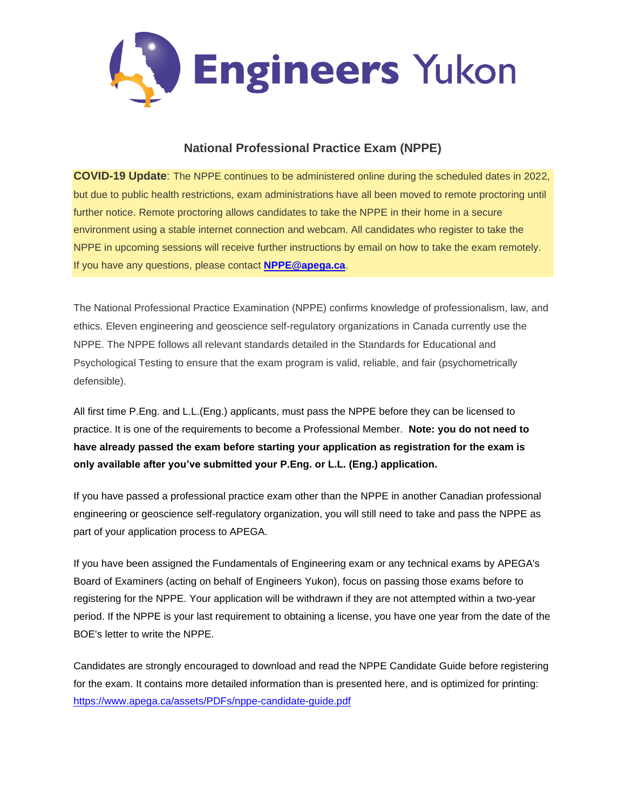

# **National Professional Practice Exam (NPPE)**

**COVID-19 Update**: The NPPE continues to be administered online during the scheduled dates in 2022, but due to public health restrictions, exam administrations have all been moved to remote proctoring until further notice. Remote proctoring allows candidates to take the NPPE in their home in a secure environment using a stable internet connection and webcam. All candidates who register to take the NPPE in upcoming sessions will receive further instructions by email on how to take the exam remotely. If you have any questions, please contact **[NPPE@apega.ca](mailto:NPPE@apega.ca)**.

The National Professional Practice Examination (NPPE) confirms knowledge of professionalism, law, and ethics. Eleven engineering and geoscience self-regulatory organizations in Canada currently use the NPPE. The NPPE follows all relevant standards detailed in the Standards for Educational and Psychological Testing to ensure that the exam program is valid, reliable, and fair (psychometrically defensible).

All first time P.Eng. and L.L.(Eng.) applicants, must pass the NPPE before they can be licensed to practice. It is one of the requirements to become a Professional Member. **Note: you do not need to have already passed the exam before starting your application as registration for the exam is only available after you've submitted your P.Eng. or L.L. (Eng.) application.** 

If you have passed a professional practice exam other than the NPPE in another Canadian professional engineering or geoscience self-regulatory organization, you will still need to take and pass the NPPE as part of your application process to APEGA.

If you have been assigned the Fundamentals of Engineering exam or any technical exams by APEGA's Board of Examiners (acting on behalf of Engineers Yukon), focus on passing those exams before to registering for the NPPE. Your application will be withdrawn if they are not attempted within a two-year period. If the NPPE is your last requirement to obtaining a license, you have one year from the date of the BOE's letter to write the NPPE.

Candidates are strongly encouraged to download and read the NPPE Candidate Guide before registering for the exam. It contains more detailed information than is presented here, and is optimized for printing: <https://www.apega.ca/assets/PDFs/nppe-candidate-guide.pdf>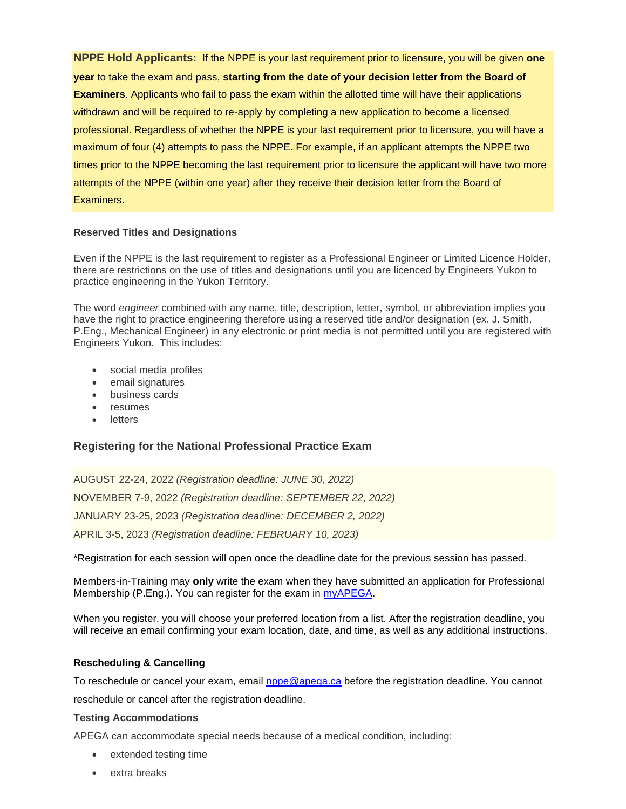**NPPE Hold Applicants:** If the NPPE is your last requirement prior to licensure, you will be given **one year** to take the exam and pass, **starting from the date of your decision letter from the Board of Examiners**. Applicants who fail to pass the exam within the allotted time will have their applications withdrawn and will be required to re-apply by completing a new application to become a licensed professional. Regardless of whether the NPPE is your last requirement prior to licensure, you will have a maximum of four (4) attempts to pass the NPPE. For example, if an applicant attempts the NPPE two times prior to the NPPE becoming the last requirement prior to licensure the applicant will have two more attempts of the NPPE (within one year) after they receive their decision letter from the Board of Examiners.

#### **Reserved Titles and Designations**

Even if the NPPE is the last requirement to register as a Professional Engineer or Limited Licence Holder, there are restrictions on the use of titles and designations until you are licenced by Engineers Yukon to practice engineering in the Yukon Territory.

The word *engineer* combined with any name, title, description, letter, symbol, or abbreviation implies you have the right to practice engineering therefore using a reserved title and/or designation (ex. J. Smith, P.Eng., Mechanical Engineer) in any electronic or print media is not permitted until you are registered with Engineers Yukon. This includes:

- social media profiles
- email signatures
- business cards
- resumes
- letters

# **Registering for the National Professional Practice Exam**

AUGUST 22-24, 2022 *(Registration deadline: JUNE 30, 2022)* NOVEMBER 7-9, 2022 *(Registration deadline: SEPTEMBER 22, 2022)*  JANUARY 23-25, 2023 *(Registration deadline: DECEMBER 2, 2022)* APRIL 3-5, 2023 *(Registration deadline: FEBRUARY 10, 2023)*

\*Registration for each session will open once the deadline date for the previous session has passed.

Members-in-Training may **only** write the exam when they have submitted an application for Professional Membership (P.Eng.). You can register for the exam in [myAPEGA.](https://www.apega.ca/portal-login)

When you register, you will choose your preferred location from a list. After the registration deadline, you will receive an email confirming your exam location, date, and time, as well as any additional instructions.

### **Rescheduling & Cancelling**

To reschedule or cancel your exam, email [nppe@apega.ca](mailto:nppe@apega.ca) before the registration deadline. You cannot reschedule or cancel after the registration deadline.

#### **Testing Accommodations**

APEGA can accommodate special needs because of a medical condition, including:

- extended testing time
- extra breaks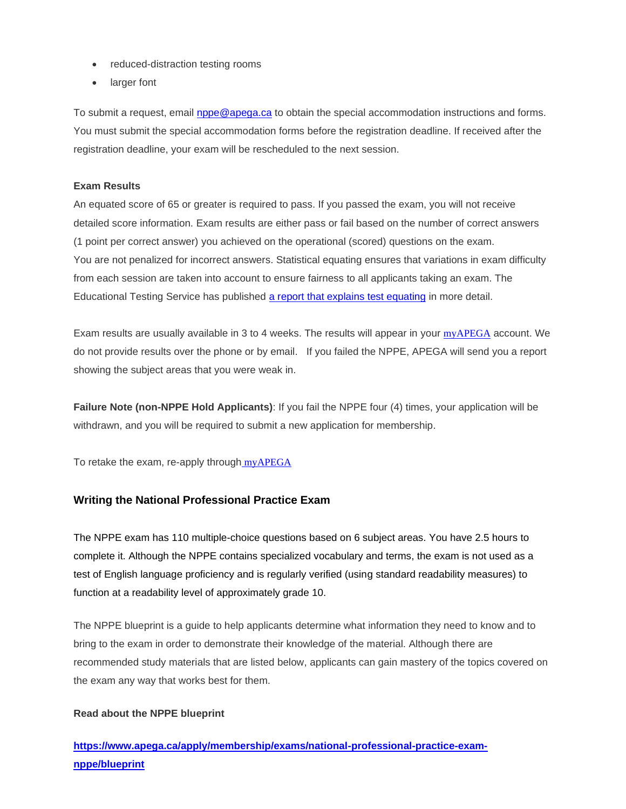- reduced-distraction testing rooms
- larger font

To submit a request, email [nppe@apega.ca](mailto:nppe@apega.ca) to obtain the special accommodation instructions and forms. You must submit the special accommodation forms before the registration deadline. If received after the registration deadline, your exam will be rescheduled to the next session.

#### **Exam Results**

An equated score of 65 or greater is required to pass. If you passed the exam, you will not receive detailed score information. Exam results are either pass or fail based on the number of correct answers (1 point per correct answer) you achieved on the operational (scored) questions on the exam. You are not penalized for incorrect answers. Statistical equating ensures that variations in exam difficulty from each session are taken into account to ensure fairness to all applicants taking an exam. The Educational Testing Service has published [a report that explains test equating](https://www.ets.org/Media/Research/pdf/RR-10-29.pdf) in more detail.

Exam results are usually available in 3 to 4 weeks. The results will appear in your [myAPEGA](https://www.apega.ca/portal-login) account. We do not provide results over the phone or by email. If you failed the NPPE, APEGA will send you a report showing the subject areas that you were weak in.

**Failure Note (non-NPPE Hold Applicants)**: If you fail the NPPE four (4) times, your application will be withdrawn, and you will be required to submit a new application for membership.

To retake the exam, re-apply through [myAPEGA](https://www.apega.ca/portal-login)

# **Writing the National Professional Practice Exam**

The NPPE exam has 110 multiple-choice questions based on 6 subject areas. You have 2.5 hours to complete it. Although the NPPE contains specialized vocabulary and terms, the exam is not used as a test of English language proficiency and is regularly verified (using standard readability measures) to function at a readability level of approximately grade 10.

The NPPE blueprint is a guide to help applicants determine what information they need to know and to bring to the exam in order to demonstrate their knowledge of the material. Although there are recommended study materials that are listed below, applicants can gain mastery of the topics covered on the exam any way that works best for them.

#### **Read about the NPPE blueprint**

**[https://www.apega.ca/apply/membership/exams/national-professional-practice-exam](https://www.apega.ca/apply/membership/exams/national-professional-practice-exam-nppe/blueprint)[nppe/blueprint](https://www.apega.ca/apply/membership/exams/national-professional-practice-exam-nppe/blueprint)**